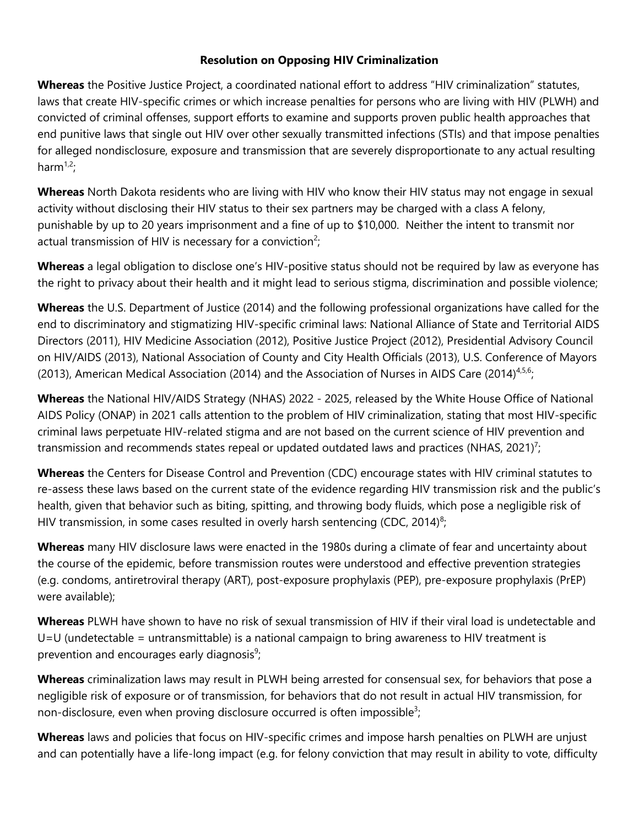## **Resolution on Opposing HIV Criminalization**

**Whereas** the Positive Justice Project, a coordinated national effort to address "HIV criminalization" statutes, laws that create HIV-specific crimes or which increase penalties for persons who are living with HIV (PLWH) and convicted of criminal offenses, support efforts to examine and supports proven public health approaches that end punitive laws that single out HIV over other sexually transmitted infections (STIs) and that impose penalties for alleged nondisclosure, exposure and transmission that are severely disproportionate to any actual resulting harm $1,2$ ;

**Whereas** North Dakota residents who are living with HIV who know their HIV status may not engage in sexual activity without disclosing their HIV status to their sex partners may be charged with a class A felony, punishable by up to 20 years imprisonment and a fine of up to \$10,000. Neither the intent to transmit nor actual transmission of HIV is necessary for a conviction<sup>2</sup>;

**Whereas** a legal obligation to disclose one's HIV-positive status should not be required by law as everyone has the right to privacy about their health and it might lead to serious stigma, discrimination and possible violence;

**Whereas** the U.S. Department of Justice (2014) and the following professional organizations have called for the end to discriminatory and stigmatizing HIV-specific criminal laws: National Alliance of State and Territorial AIDS Directors (2011), HIV Medicine Association (2012), Positive Justice Project (2012), Presidential Advisory Council on HIV/AIDS (2013), National Association of County and City Health Officials (2013), U.S. Conference of Mayors (2013), American Medical Association (2014) and the Association of Nurses in AIDS Care (2014)<sup>4,5,6</sup>;

**Whereas** the National HIV/AIDS Strategy (NHAS) 2022 - 2025, released by the White House Office of National AIDS Policy (ONAP) in 2021 calls attention to the problem of HIV criminalization, stating that most HIV-specific criminal laws perpetuate HIV-related stigma and are not based on the current science of HIV prevention and transmission and recommends states repeal or updated outdated laws and practices (NHAS, 2021)<sup>7</sup>;

**Whereas** the Centers for Disease Control and Prevention (CDC) encourage states with HIV criminal statutes to re-assess these laws based on the current state of the evidence regarding HIV transmission risk and the public's health, given that behavior such as biting, spitting, and throwing body fluids, which pose a negligible risk of HIV transmission, in some cases resulted in overly harsh sentencing (CDC, 2014)<sup>8</sup>;

**Whereas** many HIV disclosure laws were enacted in the 1980s during a climate of fear and uncertainty about the course of the epidemic, before transmission routes were understood and effective prevention strategies (e.g. condoms, antiretroviral therapy (ART), post-exposure prophylaxis (PEP), pre-exposure prophylaxis (PrEP) were available);

**Whereas** PLWH have shown to have no risk of sexual transmission of HIV if their viral load is undetectable and  $U=U$  (undetectable = untransmittable) is a national campaign to bring awareness to HIV treatment is prevention and encourages early diagnosis<sup>9</sup>;

**Whereas** criminalization laws may result in PLWH being arrested for consensual sex, for behaviors that pose a negligible risk of exposure or of transmission, for behaviors that do not result in actual HIV transmission, for non-disclosure, even when proving disclosure occurred is often impossible<sup>3</sup>;

**Whereas** laws and policies that focus on HIV-specific crimes and impose harsh penalties on PLWH are unjust and can potentially have a life-long impact (e.g. for felony conviction that may result in ability to vote, difficulty